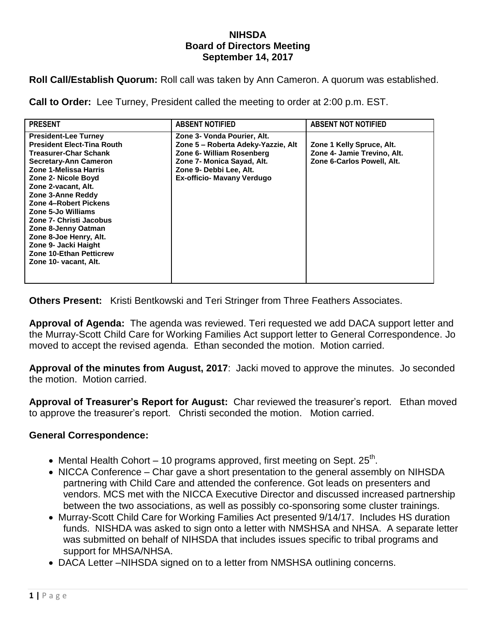## **NIHSDA Board of Directors Meeting September 14, 2017**

**Roll Call/Establish Quorum:** Roll call was taken by Ann Cameron. A quorum was established.

**Call to Order:** Lee Turney, President called the meeting to order at 2:00 p.m. EST.

| <b>PRESENT</b>                                                                                                                                                                                                                                                                                                                                                                                                                             | <b>ABSENT NOTIFIED</b>                                                                                                                                                                       | <b>ABSENT NOT NOTIFIED</b>                                                             |
|--------------------------------------------------------------------------------------------------------------------------------------------------------------------------------------------------------------------------------------------------------------------------------------------------------------------------------------------------------------------------------------------------------------------------------------------|----------------------------------------------------------------------------------------------------------------------------------------------------------------------------------------------|----------------------------------------------------------------------------------------|
| <b>President-Lee Turney</b><br><b>President Elect-Tina Routh</b><br><b>Treasurer-Char Schank</b><br><b>Secretary-Ann Cameron</b><br>Zone 1-Melissa Harris<br>Zone 2- Nicole Boyd<br>Zone 2-vacant, Alt.<br>Zone 3-Anne Reddy<br>Zone 4-Robert Pickens<br>Zone 5-Jo Williams<br>Zone 7- Christi Jacobus<br>Zone 8-Jenny Oatman<br>Zone 8-Joe Henry, Alt.<br>Zone 9- Jacki Haight<br><b>Zone 10-Ethan Petticrew</b><br>Zone 10- vacant, Alt. | Zone 3- Vonda Pourier, Alt.<br>Zone 5 - Roberta Adeky-Yazzie, Alt<br>Zone 6- William Rosenberg<br>Zone 7- Monica Sayad, Alt.<br>Zone 9- Debbi Lee, Alt.<br><b>Ex-officio- Mavany Verdugo</b> | Zone 1 Kelly Spruce, Alt.<br>Zone 4- Jamie Trevino, Alt.<br>Zone 6-Carlos Powell, Alt. |

**Others Present:** Kristi Bentkowski and Teri Stringer from Three Feathers Associates.

**Approval of Agenda:** The agenda was reviewed. Teri requested we add DACA support letter and the Murray-Scott Child Care for Working Families Act support letter to General Correspondence. Jo moved to accept the revised agenda. Ethan seconded the motion. Motion carried.

**Approval of the minutes from August, 2017**: Jacki moved to approve the minutes. Jo seconded the motion. Motion carried.

**Approval of Treasurer's Report for August:** Char reviewed the treasurer's report. Ethan moved to approve the treasurer's report. Christi seconded the motion. Motion carried.

## **General Correspondence:**

- Mental Health Cohort 10 programs approved, first meeting on Sept.  $25<sup>th</sup>$ .
- NICCA Conference Char gave a short presentation to the general assembly on NIHSDA partnering with Child Care and attended the conference. Got leads on presenters and vendors. MCS met with the NICCA Executive Director and discussed increased partnership between the two associations, as well as possibly co-sponsoring some cluster trainings.
- Murray-Scott Child Care for Working Families Act presented 9/14/17. Includes HS duration funds. NISHDA was asked to sign onto a letter with NMSHSA and NHSA. A separate letter was submitted on behalf of NIHSDA that includes issues specific to tribal programs and support for MHSA/NHSA.
- DACA Letter –NIHSDA signed on to a letter from NMSHSA outlining concerns.